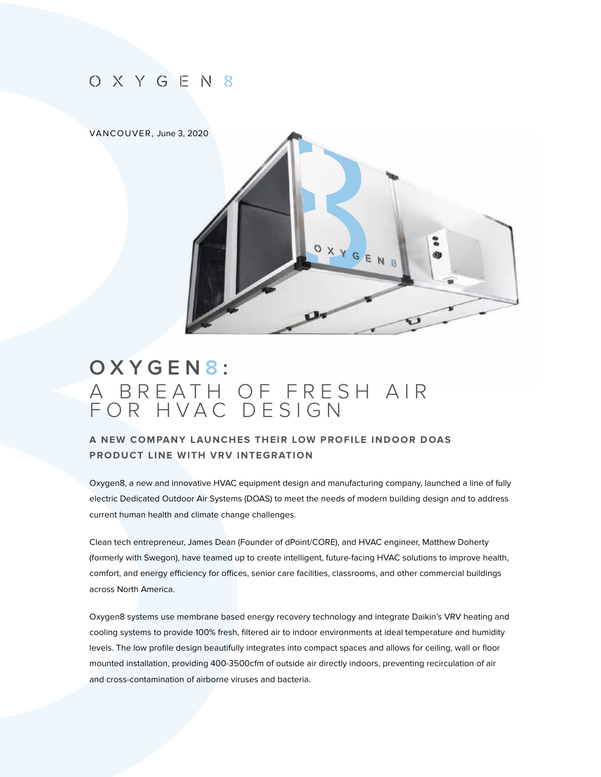# O X Y G E N 8

#### VANCOUVER, Ju[ne 3, 2020](www.oxygen8.ca)



# **OXYGEN 8 :**  A BREATH OF FRESH AIR FOR HVAC DESIGN

### **A NEW COMPANY LAUNCHES THEIR LOW PROFILE INDOOR DOAS PRODUCT LINE WITH VRV INTEGRATION**

Oxygen8, a new and innovative HVAC equipment design and manufacturing company, launched a line of fully electric Dedicated Outdoor Air Systems (DOAS) to meet the needs of modern building design and to address current human health and climate change challenges.

Clean tech entrepreneur, James Dean (Founder of dPoint/CORE), and HVAC engineer, Matthew Doherty (formerly with Swegon), have teamed up to create intelligent, future-facing HVAC solutions to improve health, comfort, and energy efficiency for offices, senior care facilities, classrooms, and other commercial buildings across North America.

Oxygen8 systems use membrane based energy recovery technology and integrate Daikin's VRV heating and cooling systems to provide 100% fresh, filtered air to indoor environments at ideal temperature and humidity levels. The low profile design beautifully integrates into compact spaces and allows for ceiling, wall or floor mounted installation, providing 400-3500cfm of outside air directly indoors, preventing recirculation of air and cross-contamination of airborne viruses and bacteria.